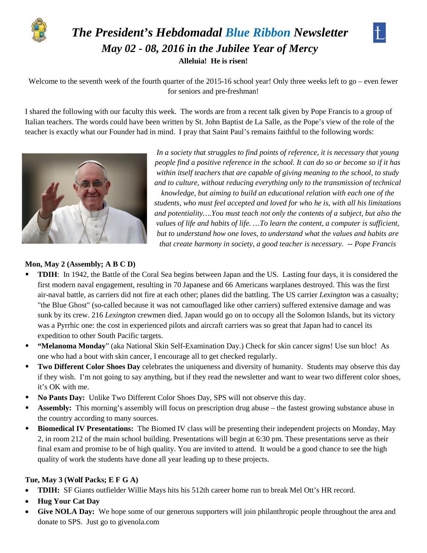

# *The President's Hebdomadal Blue Ribbon Newsletter May 02 - 08, 2016 in the Jubilee Year of Mercy* **Alleluia! He is risen!**



Welcome to the seventh week of the fourth quarter of the 2015-16 school year! Only three weeks left to go – even fewer for seniors and pre-freshman!

I shared the following with our faculty this week. The words are from a recent talk given by Pope Francis to a group of Italian teachers. The words could have been written by St. John Baptist de La Salle, as the Pope's view of the role of the teacher is exactly what our Founder had in mind. I pray that Saint Paul's remains faithful to the following words:



*In a society that struggles to find points of reference, it is necessary that young people find a positive reference in the school. It can do so or become so if it has within itself teachers that are capable of giving meaning to the school, to study and to culture, without reducing everything only to the transmission of technical* 

*knowledge, but aiming to build an educational relation with each one of the students, who must feel accepted and loved for who he is, with all his limitations and potentiality….You must teach not only the contents of a subject, but also the values of life and habits of life. …To learn the content, a computer is sufficient, but to understand how one loves, to understand what the values and habits are that create harmony in society, a good teacher is necessary. -- Pope Francis*

#### **Mon, May 2 (Assembly; A B C D)**

- **TDIH**: In 1942, the Battle of the Coral Sea begins between Japan and the US. Lasting four days, it is considered the first modern naval engagement, resulting in 70 Japanese and 66 Americans warplanes destroyed. This was the first air-naval battle, as carriers did not fire at each other; planes did the battling. The US carrier *Lexington* was a casualty*;* "the Blue Ghost" (so-called because it was not camouflaged like other carriers) suffered extensive damage and was sunk by its crew. 216 *Lexington* crewmen died. Japan would go on to occupy all the Solomon Islands, but its victory was a Pyrrhic one: the cost in experienced pilots and aircraft carriers was so great that Japan had to cancel its expedition to other South Pacific targets.
- **"Melanoma Monday**" (aka National Skin Self-Examination Day.) Check for skin cancer signs! Use sun bloc!As one who had a bout with skin cancer, I encourage all to get checked regularly.
- **Two Different Color Shoes Day** celebrates the uniqueness and diversity of humanity. Students may observe this day if they wish. I'm not going to say anything, but if they read the newsletter and want to wear two different color shoes, it's OK with me.
- **No Pants Day:** Unlike Two Different Color Shoes Day, SPS will not observe this day.
- **Assembly:** This morning's assembly will focus on prescription drug abuse the fastest growing substance abuse in the country according to many sources.
- **Biomedical IV Presentations:** The Biomed IV class will be presenting their independent projects on Monday, May 2, in room 212 of the main school building. Presentations will begin at 6:30 pm. These presentations serve as their final exam and promise to be of high quality. You are invited to attend. It would be a good chance to see the high quality of work the students have done all year leading up to these projects.

## **Tue, May 3 (Wolf Packs; E F G A)**

- **TDIH:** SF Giants outfielder Willie Mays hits his 512th career home run to break Mel Ott's HR record.
- **Hug Your Cat Day**
- **Give NOLA Day:** We hope some of our generous supporters will join philanthropic people throughout the area and donate to SPS. Just go to givenola.com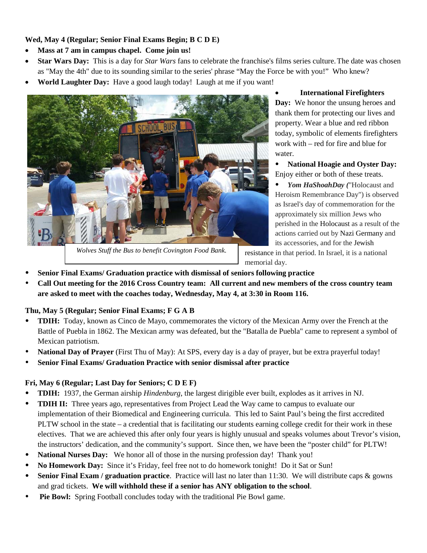## **Wed, May 4 (Regular; Senior Final Exams Begin; B C D E)**

- **Mass at 7 am in campus chapel. Come join us!**
- **Star Wars Day:** This is a day for *Star Wars* fans to celebrate the franchise's films series culture.The date was chosen as "May the 4th" due to its sounding similar to the series' phrase "May the Force be with you!" Who knew?
- **World Laughter Day:** Have a good laugh today! Laugh at me if you want!



*Wolves Stuff the Bus to benefit Covington Food Bank.*

• **International Firefighters Day:** We honor the unsung heroes and thank them for protecting our lives and property. Wear a blue and red ribbon today, symbolic of elements firefighters work with – red for fire and blue for water.

 **National Hoagie and Oyster Day:**  Enjoy either or both of these treats.

 *Yom HaShoahDay (*"Holocaust and Heroism Remembrance Day") is observed as Israel's day of commemoration for the approximately six million Jews who perished in the Holocaust as a result of the actions carried out by Nazi Germany and its accessories, and for the Jewish

resistance in that period. In Israel, it is a national memorial day.

- **Senior Final Exams/ Graduation practice with dismissal of seniors following practice**
- **Call Out meeting for the 2016 Cross Country team: All current and new members of the cross country team are asked to meet with the coaches today, Wednesday, May 4, at 3:30 in Room 116.**

# **Thu, May 5 (Regular; Senior Final Exams; F G A B**

- **TDIH:** Today, known as Cinco de Mayo, commemorates the victory of the Mexican Army over the French at the Battle of Puebla in 1862. The Mexican army was defeated, but the "Batalla de Puebla" came to represent a symbol of Mexican patriotism.
- **National Day of Prayer** (First Thu of May): At SPS, every day is a day of prayer, but be extra prayerful today!
- **Senior Final Exams/ Graduation Practice with senior dismissal after practice**

# **Fri, May 6 (Regular; Last Day for Seniors; C D E F)**

- **TDIH:** 1937, the German airship *Hindenburg*, the largest dirigible ever built, explodes as it arrives in NJ.
- **TDIH II:** Three years ago, representatives from Project Lead the Way came to campus to evaluate our implementation of their Biomedical and Engineering curricula. This led to Saint Paul's being the first accredited PLTW school in the state – a credential that is facilitating our students earning college credit for their work in these electives. That we are achieved this after only four years is highly unusual and speaks volumes about Trevor's vision, the instructors' dedication, and the community's support. Since then, we have been the "poster child" for PLTW!
- **National Nurses Day:** We honor all of those in the nursing profession day! Thank you!
- **No Homework Day:** Since it's Friday, feel free not to do homework tonight! Do it Sat or Sun!
- **Senior Final Exam / graduation practice**. Practice will last no later than 11:30. We will distribute caps & gowns and grad tickets. **We will withhold these if a senior has ANY obligation to the school**.
- **Pie Bowl:** Spring Football concludes today with the traditional Pie Bowl game.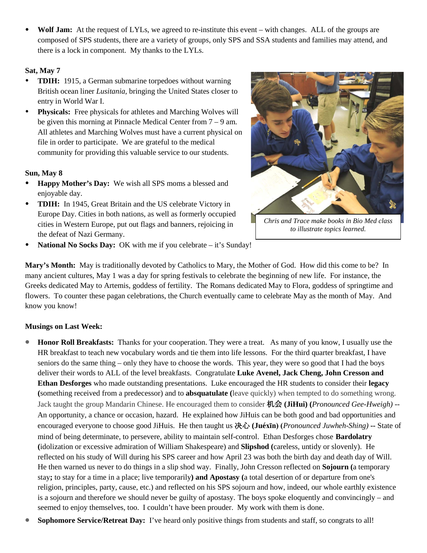**Wolf Jam:** At the request of LYLs, we agreed to re-institute this event – with changes. ALL of the groups are composed of SPS students, there are a variety of groups, only SPS and SSA students and families may attend, and there is a lock in component. My thanks to the LYLs.

# **Sat, May 7**

- **TDIH:** 1915, a German submarine torpedoes without warning British ocean liner *Lusitania,* bringing the United States closer to entry in World War I.
- **Physicals:** Free physicals for athletes and Marching Wolves will be given this morning at Pinnacle Medical Center from 7 – 9 am. All athletes and Marching Wolves must have a current physical on file in order to participate. We are grateful to the medical community for providing this valuable service to our students.

# **Sun, May 8**

- **Happy Mother's Day:** We wish all SPS moms a blessed and enjoyable day.
- **TDIH:** In 1945, Great Britain and the US celebrate Victory in Europe Day. Cities in both nations, as well as formerly occupied cities in Western Europe, put out flags and banners, rejoicing in the defeat of Nazi Germany.



*Chris and Trace make books in Bio Med class to illustrate topics learned.*

• **National No Socks Day:** OK with me if you celebrate – it's Sunday!

**Mary's Month:** May is traditionally devoted by Catholics to Mary, the Mother of God. How did this come to be? In many ancient cultures, May 1 was a day for spring festivals to celebrate the beginning of new life. For instance, the Greeks dedicated May to Artemis, goddess of fertility. The Romans dedicated May to Flora, goddess of springtime and flowers. To counter these pagan celebrations, the Church eventually came to celebrate May as the month of May. And know you know!

# **Musings on Last Week:**

- **Honor Roll Breakfasts:** Thanks for your cooperation. They were a treat. As many of you know, I usually use the HR breakfast to teach new vocabulary words and tie them into life lessons. For the third quarter breakfast, I have seniors do the same thing – only they have to choose the words. This year, they were so good that I had the boys deliver their words to ALL of the level breakfasts. Congratulate **Luke Avenel, Jack Cheng, John Cresson and Ethan Desforges** who made outstanding presentations. Luke encouraged the HR students to consider their **legacy (**something received from a predecessor) and to **absquatulate (**leave quickly) when tempted to do something wrong. Jack taught the group Mandarin Chinese. He encouraged them to consider 机会 **(JiHui) (***Pronounced Gee-Hweigh)* -- An opportunity, a chance or occasion, hazard. He explained how JiHuis can be both good and bad opportunities and encouraged everyone to choose good JiHuis. He then taught us 决心 **(Juéxīn) (***Pronounced Juwheh-Shing)* **--** State of mind of being determinate, to persevere, ability to maintain self-control. Ethan Desforges chose **Bardolatry (**idolization or excessive admiration of William Shakespeare) and **Slipshod (**careless, untidy or slovenly). He reflected on his study of Will during his SPS career and how April 23 was both the birth day and death day of Will. He then warned us never to do things in a slip shod way. Finally, John Cresson reflected on **Sojourn (**a temporary stay**;** to stay for a time in a place; live temporarily**) and Apostasy (**a total desertion of or departure from one's religion, principles, party, cause, etc.) and reflected on his SPS sojourn and how, indeed, our whole earthly existence is a sojourn and therefore we should never be guilty of apostasy. The boys spoke eloquently and convincingly – and seemed to enjoy themselves, too. I couldn't have been prouder. My work with them is done.
- **Sophomore Service/Retreat Day:** I've heard only positive things from students and staff, so congrats to all!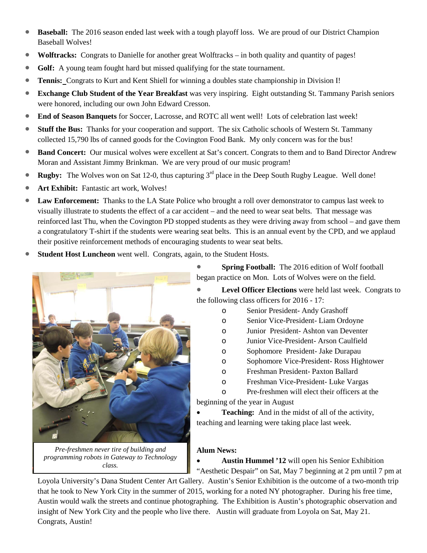- **Baseball:** The 2016 season ended last week with a tough playoff loss. We are proud of our District Champion Baseball Wolves!
- **Wolftracks:** Congrats to Danielle for another great Wolftracks in both quality and quantity of pages!
- **Golf:** A young team fought hard but missed qualifying for the state tournament.
- **Tennis:** Congrats to Kurt and Kent Shiell for winning a doubles state championship in Division I!
- **Exchange Club Student of the Year Breakfast** was very inspiring. Eight outstanding St. Tammany Parish seniors were honored, including our own John Edward Cresson.
- **End of Season Banquets** for Soccer, Lacrosse, and ROTC all went well! Lots of celebration last week!
- **Stuff the Bus:** Thanks for your cooperation and support. The six Catholic schools of Western St. Tammany collected 15,790 lbs of canned goods for the Covington Food Bank. My only concern was for the bus!
- **Band Concert:** Our musical wolves were excellent at Sat's concert. Congrats to them and to Band Director Andrew Moran and Assistant Jimmy Brinkman. We are very proud of our music program!
- **Rugby:** The Wolves won on Sat 12-0, thus capturing  $3<sup>rd</sup>$  place in the Deep South Rugby League. Well done!
- **Art Exhibit:** Fantastic art work, Wolves!
- **Law Enforcement:** Thanks to the LA State Police who brought a roll over demonstrator to campus last week to visually illustrate to students the effect of a car accident – and the need to wear seat belts. That message was reinforced last Thu, when the Covington PD stopped students as they were driving away from school – and gave them a congratulatory T-shirt if the students were wearing seat belts. This is an annual event by the CPD, and we applaud their positive reinforcement methods of encouraging students to wear seat belts.
- **Student Host Luncheon** went well. Congrats, again, to the Student Hosts.



*Pre-freshmen never tire of building and programming robots in Gateway to Technology class.*

• **Spring Football:** The 2016 edition of Wolf football began practice on Mon. Lots of Wolves were on the field.

• **Level Officer Elections** were held last week. Congrats to the following class officers for 2016 - 17:

- o Senior President- Andy Grashoff
- o Senior Vice-President- Liam Ordoyne
- o Junior President- Ashton van Deventer
- o Junior Vice-President- Arson Caulfield
- o Sophomore President- Jake Durapau
- o Sophomore Vice-President- Ross Hightower
- o Freshman President- Paxton Ballard
- o Freshman Vice-President- Luke Vargas

o Pre-freshmen will elect their officers at the beginning of the year in August • **Teaching:** And in the midst of all of the activity,

teaching and learning were taking place last week.

# **Alum News:**

• **Austin Hummel '12** will open his Senior Exhibition "Aesthetic Despair" on Sat, May 7 beginning at 2 pm until 7 pm at

Loyola University's Dana Student Center Art Gallery. Austin's Senior Exhibition is the outcome of a two-month trip that he took to New York City in the summer of 2015, working for a noted NY photographer. During his free time, Austin would walk the streets and continue photographing. The Exhibition is Austin's photographic observation and insight of New York City and the people who live there. Austin will graduate from Loyola on Sat, May 21. Congrats, Austin!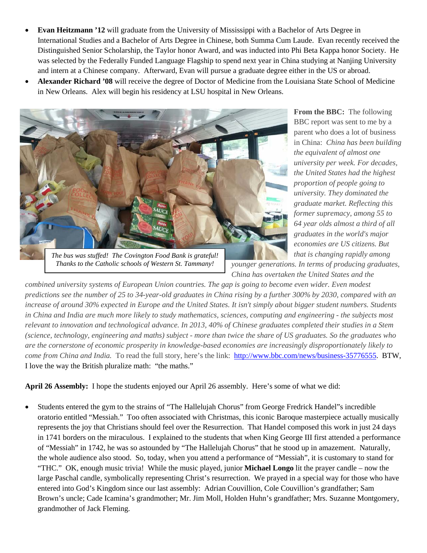- **Evan Heitzmann '12** will graduate from the University of Mississippi with a Bachelor of Arts Degree in International Studies and a Bachelor of Arts Degree in Chinese, both Summa Cum Laude. Evan recently received the Distinguished Senior Scholarship, the Taylor honor Award, and was inducted into Phi Beta Kappa honor Society. He was selected by the Federally Funded Language Flagship to spend next year in China studying at Nanjing University and intern at a Chinese company. Afterward, Evan will pursue a graduate degree either in the US or abroad.
- **Alexander Richard '08** will receive the degree of Doctor of Medicine from the Louisiana State School of Medicine in New Orleans. Alex will begin his residency at LSU hospital in New Orleans.



*The bus was stuffed! The Covington Food Bank is grateful! Thanks to the Catholic schools of Western St. Tammany!*

**From the BBC:** The following BBC report was sent to me by a parent who does a lot of business in China: *China has been building the equivalent of almost one university per week. For decades, the United States had the highest proportion of people going to university. They dominated the graduate market. Reflecting this former supremacy, among 55 to 64 year olds almost a third of all graduates in the world's major economies are US citizens. But that is changing rapidly among* 

*younger generations. In terms of producing graduates, China has overtaken the United States and the* 

*combined university systems of European Union countries. The gap is going to become even wider. Even modest predictions see the number of 25 to 34-year-old graduates in China rising by a further 300% by 2030, compared with an increase of around 30% expected in Europe and the United States. It isn't simply about bigger student numbers. Students in China and India are much more likely to study mathematics, sciences, computing and engineering - the subjects most relevant to innovation and technological advance. In 2013, 40% of Chinese graduates completed their studies in a Stem (science, technology, engineering and maths) subject - more than twice the share of US graduates. So the graduates who are the cornerstone of economic prosperity in knowledge-based economies are increasingly disproportionately likely to come from China and India.* To read the full story, here's the link: [http://www.bbc.com/news/business-35776555.](http://www.bbc.com/news/business-35776555) BTW, I love the way the British pluralize math: "the maths."

**April 26 Assembly:** I hope the students enjoyed our April 26 assembly. Here's some of what we did:

• Students entered the gym to the strains of "The Hallelujah Chorus" from George Fredrick Handel"s incredible oratorio entitled "Messiah." Too often associated with Christmas, this iconic Baroque masterpiece actually musically represents the joy that Christians should feel over the Resurrection. That Handel composed this work in just 24 days in 1741 borders on the miraculous. I explained to the students that when King George III first attended a performance of "Messiah" in 1742, he was so astounded by "The Hallelujah Chorus" that he stood up in amazement. Naturally, the whole audience also stood. So, today, when you attend a performance of "Messiah", it is customary to stand for "THC." OK, enough music trivia! While the music played, junior **Michael Longo** lit the prayer candle – now the large Paschal candle, symbolically representing Christ's resurrection. We prayed in a special way for those who have entered into God's Kingdom since our last assembly: Adrian Couvillion, Cole Couvillion's grandfather; Sam Brown's uncle; Cade Icamina's grandmother; Mr. Jim Moll, Holden Huhn's grandfather; Mrs. Suzanne Montgomery, grandmother of Jack Fleming.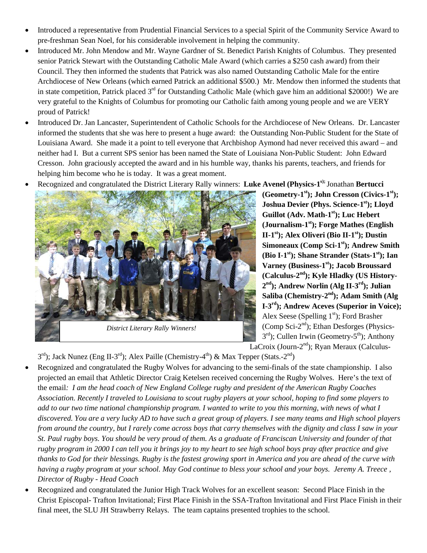- Introduced a representative from Prudential Financial Services to a special Spirit of the Community Service Award to pre-freshman Sean Noel, for his considerable involvement in helping the community.
- Introduced Mr. John Mendow and Mr. Wayne Gardner of St. Benedict Parish Knights of Columbus. They presented senior Patrick Stewart with the Outstanding Catholic Male Award (which carries a \$250 cash award) from their Council. They then informed the students that Patrick was also named Outstanding Catholic Male for the entire Archdiocese of New Orleans (which earned Patrick an additional \$500.) Mr. Mendow then informed the students that in state competition, Patrick placed  $3<sup>rd</sup>$  for Outstanding Catholic Male (which gave him an additional \$2000!) We are very grateful to the Knights of Columbus for promoting our Catholic faith among young people and we are VERY proud of Patrick!
- Introduced Dr. Jan Lancaster, Superintendent of Catholic Schools for the Archdiocese of New Orleans. Dr. Lancaster informed the students that she was here to present a huge award: the Outstanding Non-Public Student for the State of Louisiana Award. She made it a point to tell everyone that Archbishop Aymond had never received this award – and neither had I. But a current SPS senior has been named the State of Louisiana Non-Public Student: John Edward Cresson. John graciously accepted the award and in his humble way, thanks his parents, teachers, and friends for helping him become who he is today. It was a great moment.
- Recognized and congratulated the District Literary Rally winners: **Luke Avenel (Physics-1s);** Jonathan **Bertucci**



*District Literary Rally Winners!*

**(Geometry-1st); John Cresson (Civics-1st);**  Joshua Devier (Phys. Science-1<sup>st</sup>); Lloyd Guillot (Adv. Math-1<sup>st</sup>); Luc Hebert **(Journalism-1st); Forge Mathes (English II-1<sup>st</sup>): Alex Oliveri (Bio II-1<sup>st</sup>): Dustin Simoneaux (Comp Sci-1<sup>st</sup>); Andrew Smith (Bio I-1st); Shane Strander (Stats-1st); Ian Varney (Business-1st); Jacob Broussard (Calculus-2nd); Kyle Hladky (US History-2nd); Andrew Norlin (Alg II-3rd); Julian Saliba (Chemistry-2nd); Adam Smith (Alg I-3rd); Andrew Aceves (Superior in Voice);**  Alex Seese (Spelling  $1<sup>st</sup>$ ); Ford Brasher (Comp Sci-2<sup>nd</sup>); Ethan Desforges (Physics- $3<sup>rd</sup>$ ; Cullen Irwin (Geometry-5<sup>th</sup>); Anthony

LaCroix (Journ-2<sup>nd</sup>); Ryan Meraux (Calculus-

 $3<sup>rd</sup>$ ); Jack Nunez (Eng II-3<sup>rd</sup>); Alex Paille (Chemistry-4<sup>th</sup>) & Max Tepper (Stats.-2<sup>nd</sup>)

- Recognized and congratulated the Rugby Wolves for advancing to the semi-finals of the state championship. I also projected an email that Athletic Director Craig Ketelsen received concerning the Rugby Wolves. Here's the text of the email*: I am the head coach of New England College rugby and president of the American Rugby Coaches Association. Recently I traveled to Louisiana to scout rugby players at your school, hoping to find some players to add to our two time national championship program. I wanted to write to you this morning, with news of what I discovered. You are a very lucky AD to have such a great group of players. I see many teams and High school players from around the country, but I rarely come across boys that carry themselves with the dignity and class I saw in your St. Paul rugby boys. You should be very proud of them. As a graduate of Franciscan University and founder of that rugby program in 2000 I can tell you it brings joy to my heart to see high school boys pray after practice and give thanks to God for their blessings. Rugby is the fastest growing sport in America and you are ahead of the curve with having a rugby program at your school. May God continue to bless your school and your boys. Jeremy A. Treece , Director of Rugby - Head Coach*
- Recognized and congratulated the Junior High Track Wolves for an excellent season: Second Place Finish in the Christ Episcopal- Trafton Invitational; First Place Finish in the SSA-Trafton Invitational and First Place Finish in their final meet, the SLU JH Strawberry Relays. The team captains presented trophies to the school.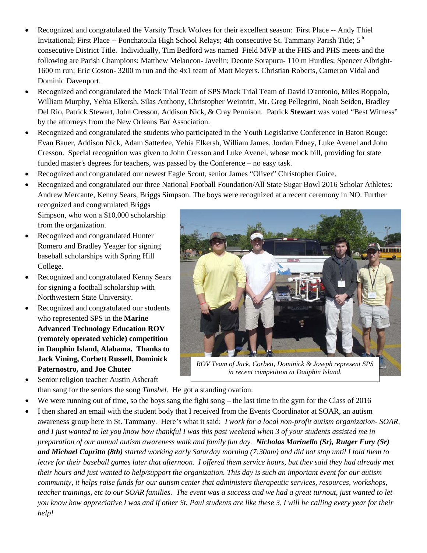- Recognized and congratulated the Varsity Track Wolves for their excellent season: First Place -- Andy Thiel Invitational; First Place -- Ponchatoula High School Relays; 4th consecutive St. Tammany Parish Title; 5<sup>th</sup> consecutive District Title. Individually, Tim Bedford was named Field MVP at the FHS and PHS meets and the following are Parish Champions: Matthew Melancon- Javelin; Deonte Sorapuru- 110 m Hurdles; Spencer Albright-1600 m run; Eric Coston- 3200 m run and the 4x1 team of Matt Meyers. Christian Roberts, Cameron Vidal and Dominic Davenport.
- Recognized and congratulated the Mock Trial Team of SPS Mock Trial Team of David D'antonio, Miles Roppolo, William Murphy, Yehia Elkersh, Silas Anthony, Christopher Weintritt, Mr. Greg Pellegrini, Noah Seiden, Bradley Del Rio, Patrick Stewart, John Cresson, Addison Nick, & Cray Pennison. Patrick **Stewart** was voted "Best Witness" by the attorneys from the New Orleans Bar Association.
- Recognized and congratulated the students who participated in the Youth Legislative Conference in Baton Rouge: Evan Bauer, Addison Nick, Adam Satterlee, Yehia Elkersh, William James, Jordan Edney, Luke Avenel and John Cresson. Special recognition was given to John Cresson and Luke Avenel, whose mock bill, providing for state funded master's degrees for teachers, was passed by the Conference – no easy task.
- Recognized and congratulated our newest Eagle Scout, senior James "Oliver" Christopher Guice.
- Recognized and congratulated our three National Football Foundation/All State Sugar Bowl 2016 Scholar Athletes: Andrew Mercante, Kenny Sears, Briggs Simpson. The boys were recognized at a recent ceremony in NO. Further recognized and congratulated Briggs

Simpson, who won a \$10,000 scholarship from the organization.

- Recognized and congratulated Hunter Romero and Bradley Yeager for signing baseball scholarships with Spring Hill College.
- Recognized and congratulated Kenny Sears for signing a football scholarship with Northwestern State University.
- Recognized and congratulated our students who represented SPS in the **Marine Advanced Technology Education ROV (remotely operated vehicle) competition in Dauphin Island, Alabama. Thanks to Jack Vining, Corbett Russell, Dominick Paternostro, and Joe Chuter**
- Senior religion teacher Austin Ashcraft



*ROV Team of Jack, Corbett, Dominick & Joseph represent SPS in recent competition at Dauphin Island.*

- than sang for the seniors the song *Timshel.* He got a standing ovation.
- We were running out of time, so the boys sang the fight song the last time in the gym for the Class of 2016
- I then shared an email with the student body that I received from the Events Coordinator at SOAR, an autism awareness group here in St. Tammany. Here's what it said: *I work for a local non-profit autism organization- SOAR, and I just wanted to let you know how thankful I was this past weekend when 3 of your students assisted me in preparation of our annual autism awareness walk and family fun day. Nicholas Marinello (Sr), Rutger Fury (Sr) and Michael Capritto (8th) started working early Saturday morning (7:30am) and did not stop until I told them to leave for their baseball games later that afternoon. I offered them service hours, but they said they had already met their hours and just wanted to help/support the organization. This day is such an important event for our autism community, it helps raise funds for our autism center that administers therapeutic services, resources, workshops, teacher trainings, etc to our SOAR families. The event was a success and we had a great turnout, just wanted to let you know how appreciative I was and if other St. Paul students are like these 3, I will be calling every year for their help!*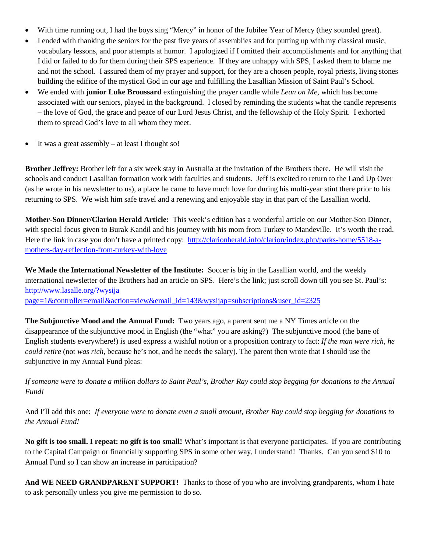- With time running out, I had the boys sing "Mercy" in honor of the Jubilee Year of Mercy (they sounded great).
- I ended with thanking the seniors for the past five years of assemblies and for putting up with my classical music, vocabulary lessons, and poor attempts at humor. I apologized if I omitted their accomplishments and for anything that I did or failed to do for them during their SPS experience. If they are unhappy with SPS, I asked them to blame me and not the school. I assured them of my prayer and support, for they are a chosen people, royal priests, living stones building the edifice of the mystical God in our age and fulfilling the Lasallian Mission of Saint Paul's School.
- We ended with **junior Luke Broussard** extinguishing the prayer candle while *Lean on Me,* which has become associated with our seniors, played in the background. I closed by reminding the students what the candle represents – the love of God, the grace and peace of our Lord Jesus Christ, and the fellowship of the Holy Spirit. I exhorted them to spread God's love to all whom they meet.
- It was a great assembly at least I thought so!

**Brother Jeffrey:** Brother left for a six week stay in Australia at the invitation of the Brothers there. He will visit the schools and conduct Lasallian formation work with faculties and students. Jeff is excited to return to the Land Up Over (as he wrote in his newsletter to us), a place he came to have much love for during his multi-year stint there prior to his returning to SPS. We wish him safe travel and a renewing and enjoyable stay in that part of the Lasallian world.

**Mother-Son Dinner/Clarion Herald Article:** This week's edition has a wonderful article on our Mother-Son Dinner, with special focus given to Burak Kandil and his journey with his mom from Turkey to Mandeville. It's worth the read. Here the link in case you don't have a printed copy: [http://clarionherald.info/clarion/index.php/parks-home/5518-a](http://clarionherald.info/clarion/index.php/parks-home/5518-a-mothers-day-reflection-from-turkey-with-love)[mothers-day-reflection-from-turkey-with-love](http://clarionherald.info/clarion/index.php/parks-home/5518-a-mothers-day-reflection-from-turkey-with-love)

**We Made the International Newsletter of the Institute:** Soccer is big in the Lasallian world, and the weekly international newsletter of the Brothers had an article on SPS. Here's the link; just scroll down till you see St. Paul's: [http://www.lasalle.org/?wysija](http://www.lasalle.org/?wysija%20page=1&controller=email&action=view&email_id=143&wysijap=subscriptions&user_id=2325)  [page=1&controller=email&action=view&email\\_id=143&wysijap=subscriptions&user\\_id=2325](http://www.lasalle.org/?wysija%20page=1&controller=email&action=view&email_id=143&wysijap=subscriptions&user_id=2325)

**The Subjunctive Mood and the Annual Fund:** Two years ago, a parent sent me a NY Times article on the disappearance of the subjunctive mood in English (the "what" you are asking?) The subjunctive mood (the bane of English students everywhere!) is used express a wishful notion or a proposition contrary to fact: *If the man were rich, he could retire* (not *was rich*, because he's not, and he needs the salary). The parent then wrote that I should use the subjunctive in my Annual Fund pleas:

*If someone were to donate a million dollars to Saint Paul's, Brother Ray could stop begging for donations to the Annual Fund!*

And I'll add this one: *If everyone were to donate even a small amount, Brother Ray could stop begging for donations to the Annual Fund!*

**No gift is too small. I repeat: no gift is too small!** What's important is that everyone participates.If you are contributing to the Capital Campaign or financially supporting SPS in some other way, I understand! Thanks. Can you send \$10 to Annual Fund so I can show an increase in participation?

And WE NEED GRANDPARENT SUPPORT! Thanks to those of you who are involving grandparents, whom I hate to ask personally unless you give me permission to do so.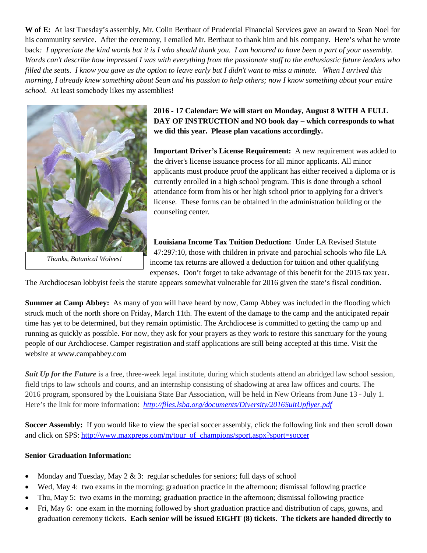**W of E:** At last Tuesday's assembly, Mr. Colin Berthaut of Prudential Financial Services gave an award to Sean Noel for his community service. After the ceremony, I emailed Mr. Berthaut to thank him and his company. Here's what he wrote back: I appreciate the kind words but it is I who should thank you. I am honored to have been a part of your assembly. *Words can't describe how impressed I was with everything from the passionate staff to the enthusiastic future leaders who filled the seats. I know you gave us the option to leave early but I didn't want to miss a minute. When I arrived this morning, I already knew something about Sean and his passion to help others; now I know something about your entire school.* At least somebody likes my assemblies!



*Thanks, Botanical Wolves!*

# **2016 - 17 Calendar: We will start on Monday, August 8 WITH A FULL DAY OF INSTRUCTION and NO book day – which corresponds to what we did this year. Please plan vacations accordingly.**

**Important Driver's License Requirement:** A new requirement was added to the driver's license issuance process for all minor applicants. All minor applicants must produce proof the applicant has either received a diploma or is currently enrolled in a high school program. This is done through a school attendance form from his or her high school prior to applying for a driver's license. These forms can be obtained in the administration building or the counseling center.

**Louisiana Income Tax Tuition Deduction:** Under LA Revised Statute 47:297:10, those with children in private and parochial schools who file LA income tax returns are allowed a deduction for tuition and other qualifying expenses. Don't forget to take advantage of this benefit for the 2015 tax year.

The Archdiocesan lobbyist feels the statute appears somewhat vulnerable for 2016 given the state's fiscal condition.

**Summer at Camp Abbey:** As many of you will have heard by now, Camp Abbey was included in the flooding which struck much of the north shore on Friday, March 11th. The extent of the damage to the camp and the anticipated repair time has yet to be determined, but they remain optimistic. The Archdiocese is committed to getting the camp up and running as quickly as possible. For now, they ask for your prayers as they work to restore this sanctuary for the young people of our Archdiocese. Camper registration and staff applications are still being accepted at this time. Visit the website at www.campabbey.com

**Suit Up for the Future** is a free, three-week legal institute, during which students attend an abridged law school session, field trips to law schools and courts, and an internship consisting of shadowing at area law offices and courts. The 2016 program, sponsored by the Louisiana State Bar Association, will be held in New Orleans from June 13 - July 1. Here's the link for more information: *<http://files.lsba.org/documents/Diversity/2016SuitUpflyer.pdf>*

**Soccer Assembly:** If you would like to view the special soccer assembly, click the following link and then scroll down and click on SPS: [http://www.maxpreps.com/m/tour\\_of\\_champions/sport.aspx?sport=soccer](http://www.maxpreps.com/m/tour_of_champions/sport.aspx?sport=soccer)

## **Senior Graduation Information:**

- Monday and Tuesday, May 2 & 3: regular schedules for seniors; full days of school
- Wed, May 4: two exams in the morning; graduation practice in the afternoon; dismissal following practice
- Thu, May 5: two exams in the morning; graduation practice in the afternoon; dismissal following practice
- Fri, May 6: one exam in the morning followed by short graduation practice and distribution of caps, gowns, and graduation ceremony tickets. **Each senior will be issued EIGHT (8) tickets. The tickets are handed directly to**